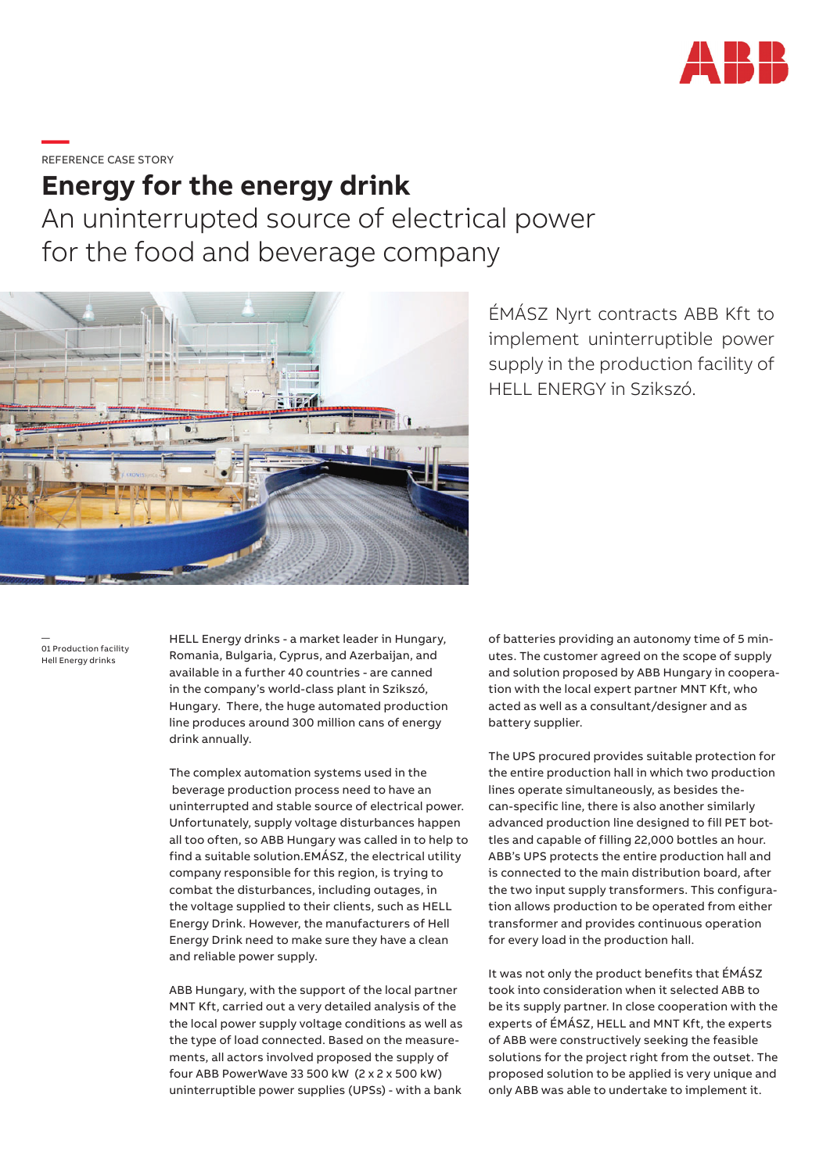

**—**REFERENCE CASE STORY

## **Energy for the energy drink**

An uninterrupted source of electrical power for the food and beverage company



ÉMÁSZ Nyrt contracts ABB Kft to implement uninterruptible power supply in the production facility of HELL ENERGY in Szikszó.

— 01 Production facility Hell Energy drinks

HELL Energy drinks - a market leader in Hungary, Romania, Bulgaria, Cyprus, and Azerbaijan, and available in a further 40 countries - are canned in the company's world-class plant in Szikszó, Hungary. There, the huge automated production line produces around 300 million cans of energy drink annually.

The complex automation systems used in the beverage production process need to have an uninterrupted and stable source of electrical power. Unfortunately, supply voltage disturbances happen all too often, so ABB Hungary was called in to help to find a suitable solution.EMÁSZ, the electrical utility company responsible for this region, is trying to combat the disturbances, including outages, in the voltage supplied to their clients, such as HELL Energy Drink. However, the manufacturers of Hell Energy Drink need to make sure they have a clean and reliable power supply.

ABB Hungary, with the support of the local partner MNT Kft, carried out a very detailed analysis of the the local power supply voltage conditions as well as the type of load connected. Based on the measurements, all actors involved proposed the supply of four ABB PowerWave 33 500 kW (2 x 2 x 500 kW) uninterruptible power supplies (UPSs) - with a bank

of batteries providing an autonomy time of 5 minutes. The customer agreed on the scope of supply and solution proposed by ABB Hungary in cooperation with the local expert partner MNT Kft, who acted as well as a consultant/designer and as battery supplier.

The UPS procured provides suitable protection for the entire production hall in which two production lines operate simultaneously, as besides thecan-specific line, there is also another similarly advanced production line designed to fill PET bottles and capable of filling 22,000 bottles an hour. ABB's UPS protects the entire production hall and is connected to the main distribution board, after the two input supply transformers. This configuration allows production to be operated from either transformer and provides continuous operation for every load in the production hall.

It was not only the product benefits that ÉMÁSZ took into consideration when it selected ABB to be its supply partner. In close cooperation with the experts of ÉMÁSZ, HELL and MNT Kft, the experts of ABB were constructively seeking the feasible solutions for the project right from the outset. The proposed solution to be applied is very unique and only ABB was able to undertake to implement it.